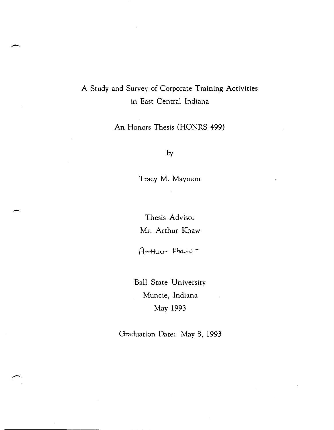# A Study and Survey of Corporate Training Activities in East Central Indiana

An Honors Thesis (HONRS 499)

by

Tracy M. Maymon

Thesis Advisor Mr. Arthur Khaw

 $\rightarrow$ 

Arthur Khaw

Ball State University Muncie, Indiana May 1993

Graduation Date: May 8, 1993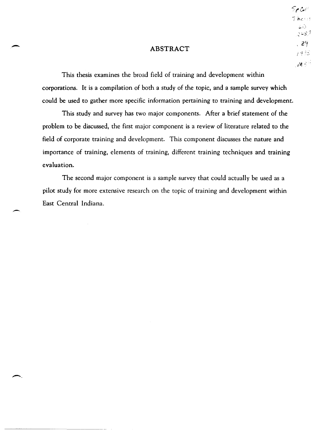# ABSTRACT

-

--

This thesis examines the broad field of training and development within corporations. It is a compilation of both a study of the topic, and a sample survey which could be used to gather more specific information pertaining to training and development.

This study and survey has two major components. After a brief statement of the problem to be discussed, the first major component is a review of literature related to the field of corporate training and development. This component discusses the nature and importance of training, elements of training, different training techniques and training evaluation.

The second major component is a sample survey that could actually be used as a pilot study for more extensive research on the topic of training and development within East Central Indiana.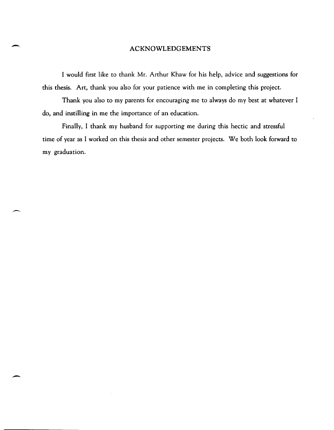# ACKNOWLEDGEMENTS

-,

-

I would first like to thank Mr. Arthur Khaw for his help, advice and suggestions for this thesis. Art, thank you also for your patience with me in completing this project.

Thank you also to my parents for encouraging me to always do my best at whatever I do, and instilling in me the importance of an education.

Finally, I thank my husband for supporting me during this hectic and stressful time of year as I worked on this thesis and other semester projects. We both look forward to my graduation.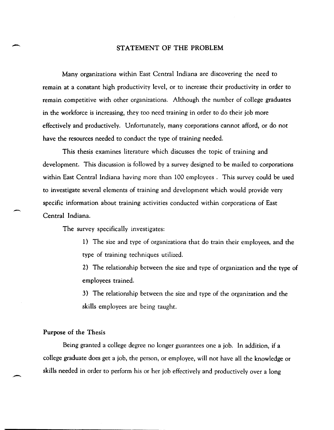## STATEMENT OF THE PROBLEM

Many organizations within East Central Indiana are discovering the need to remain at a constant high productivity level, or to increase their productivity in order to remain competitive with other organizations. Although the number of college graduates in the workforce is increasing, they too need training in order to do their job more effectively and productively. Unfortunately, many corporations cannot afford, or do not have the resources needed to conduct the type of training needed.

This thesis examines literature which discusses the topic of training and development. This discussion is followed by a survey designed to be mailed to corporations within East Central Indiana having more than 100 employees. This survey could be used to investigate several elements of training and development which would provide very specific information about training activities conducted within corporations of East Central Indiana.

The survey specifically investigates:

1) The size and type of organizations that do train their employees, and the type of training techniques utilized.

2) The relationship between the size and type of organization and the type of employees trained.

3) The relationship between the size and type of the organization and the skills employees are being taught.

## Purpose of the Thesis

--

-

Being granted a college degree no longer guarantees one a job. In addition, if a college graduate does get a job, the person, or employee, will not have all the knowledge or skills needed in order to perform his or her job effectively and productively over a long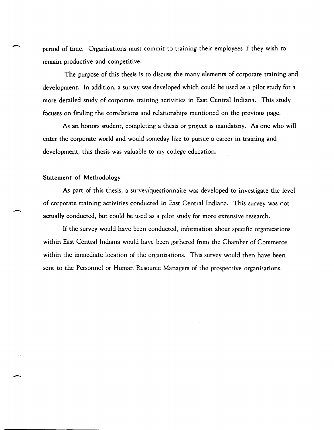period of time. Organizations must commit to training their employees if they wish to remain productive and competitive.

The purpose of this thesis is to discuss the many elements of corporate training and development. In addition, a survey was developed which could be used as a pilot study for a more detailed study of corporate training activities in East Central Indiana. This study focuses on finding the correlations and relationships mentioned on the previous page.

As an honors student, completing a thesis or project is mandatory. As one who will enter the corporate world and would someday like to pursue a career in training and development, this thesis was valuable to my college education.

# Statement of Methodology

,-

As part of this thesis, a survey/questionnaire was developed to investigate the level of corporate training activities conducted in East Central Indiana. This survey was not actually conducted, but could be used as a pilot study for more extensive research.

If the survey would have been conducted, information about specific organizations within East Central Indiana would have been gathered from the Chamber of Commerce within the immediate location of the organizations. This survey would then have been sent to the Personnel or Human Resource Managers of the prospective organizations.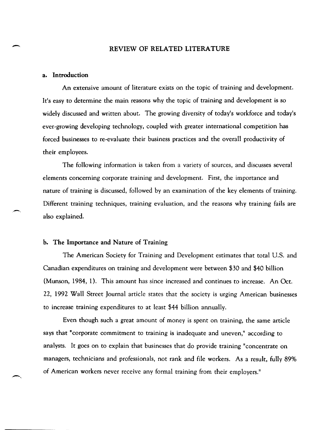# REVIEW OF RELATED LITERATURE

## a. Introduction

-.

-.

An extensive amount of literature exists on the topic of training and development. It's easy to determine the main reasons why the topic of training and development is so widely discussed and written about. The growing diversity of today's workforce and today's ever-growing developing technology, coupled with greater international competition has forced businesses to re,evaluate their business practices and the overall productivity of their employees.

The following information is taken from a variety of sources, and discusses several elements concerning corporate training and development. First, the importance and nature of training is discussed, followed by an examination of the key elements of training. Different training techniques, training evaluation, and the reasons why training fails are also explained.

## h. The Importance and Nature of Training

The American Society for Training and Development estimates that total U.S. and Canadian expenditures on training and development were between \$30 and \$40 billion (Munson, 1984, 1). This amount has since increased and continues to increase. An Oct. 22, 1992 Wall Street Journal article states that the society is urging American businesses to increase training expenditures to at least \$44 billion annually.

Even though such a great amount of money is spent on training, the same article says that "corporate commitment to training is inadequate and uneven," according to analysts. It goes on to explain that businesses that do provide training "concentrate on managers, technicians and professionals, not rank and file workers. As a result, fully 89% of American workers never receive any formal training from their employers."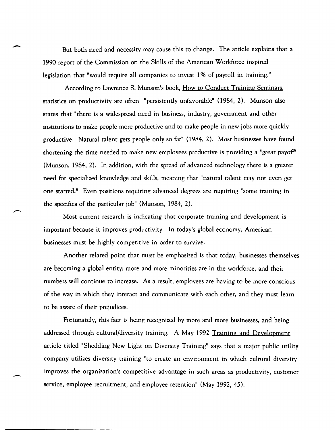But both need and necessity may cause this to change. The article explains that a 1990 report of the Commission on the Skills of the American Workforce inspired legislation that "would require all companies to invest 1 % of payroll in training."

According to Lawrence S. Munson's book, How to Conduct Training Seminars, statistics on productivity are often "persistently unfavorable" (1984, 2). Munson also states that "there is a widespread need in business, industry, government and other institutions to make people more productive and to make people in new jobs more quickly productive. Natural talent gets people only so far" (1984, 2). Most businesses have found shortening the time needed to make new employees productive is providing a "great payoff' (Munson, 1984, 2). In addition, with the spread of advanced technology there is a greater need for specialized knowledge and skills, meaning that "natural talent may not even get one started." Even positions requiring advanced degrees are requiring "some training in the specifics of the particular job" (Munson, 1984, 2).

Most current research is indicating that corporate training and development is important because it improves productivity. In today's global economy, American businesses must be highly competitive in order to survive.

Another related point that must be emphasized is that today, businesses themselves are becoming a global entity; more and more minorities are in the workforce, and their numbers will continue to increase. As a result, employees are having to be more conscious of the way in which they interact and communicate with each other, and they must learn to be aware of their prejudices.

Fortunately, this fact is being recognized by more and more businesses, and being addressed through cultural/diversity training. A May 1992 Training and Development article titled "Shedding New Light on Diversity Training" says that a major public utility company utilizes diversity training "to create an environment in which cultural diversity improves the organization's competitive advantage in such areas as productivity, customer service, employee recruitment, and employee retention" (May 1992, 45).

-.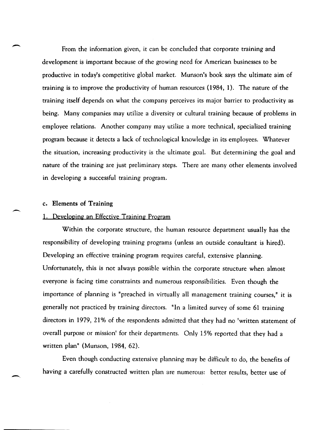From the information given, it can be concluded that corporate training and development is important because of the growing need for American businesses to be productive in today's competitive global market. Munson's book says the ultimate aim of training is to improve the productivity of human resources (1984, 1). The nature of the training itself depends on what the company perceives its major barrier to productivity as being. Many companies may utilize a diversity or cultural training because of problems in employee relations. Another company may utilize a more technical, specialized training program because it detects a lack of technological knowledge in its employees. Whatever the situation, increasing productivity is the ultimate goal. But determining the goal and nature of the training are just preliminary steps. There are many other elements involved in developing a successful training program.

#### c. Elements of Training

-.

-.

#### Developing an Effective Training Program

Within the corporate structure, the human resource department usually has the responsibility of developing training programs (unless an outside consultant is hired). Developing an effective training program requires careful, extensive planning. Unfortunately, this is not always possible within the corporate structure when almost everyone is facing time constraints and numerous responsibilities. Even though the importance of planning is "preached in virtually all management training courses," it is generally not practiced by training directors. "In a limited survey of some 61 training directors in 1979, 21 % of the respondents admitted that they had no 'written statement of overall purpose or mission' for their departments. Only 15% reported that they had a written plan" (Munson, 1984, 62).

Even though conducting extensive planning may be difficult to do, the benefits of having a carefully constructed written plan are numerous: better results, better use of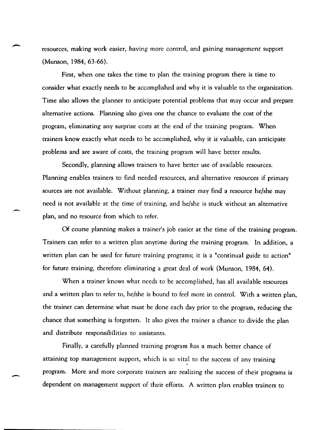resources, making work easier, having more control, and gaining management support (Munson, 1984, 63-66).

First, when one takes the time to plan the training program there is time to consider what exactly needs to be accomplished and why it is valuable to the organization. Time also allows the planner to anticipate potential problems that may occur and prepare alternative actions. Planning also gives one the chance to evaluate the cost of the program, eliminating any surprise costs at the end of the training program. When trainers know exactly what needs to be accomplished, why it is valuable, can anticipate problems and are aware of costs, the training program will have better results.

Secondly, planning allows trainers to have better use of available resources. Planning enables trainers to find needed resources, and alternative resources if primary sources are not available. Without planning, a trainer may find a resource he/she may need is not available at the time of training, and he/she is stuck without an alternative plan, and no resource from which to refer.

Of course planning makes a trainer's job easier at the time of the training program. Trainers can refer to a written plan anytime during the training program. In addition, a written plan can be used for future training programs; it is a "continual guide to action" for future training, therefore eliminating a great deal of work (Munson, 1984, 64).

When a trainer knows what needs to be accomplished, has all available resources and a written plan to refer to, he/she is bound to feel more in control. With a written plan, the trainer can determine what must be done each day prior to the program, reducing the chance that something is forgotten. It also gives the trainer a chance to divide the plan and distribute responsibilities to assistants.

Finally, a carefully planned training program has a much better chance of attaining top management support, which is so vital to the success of any training program. More and more corporate trainers are realizing the success of their programs is dependent on management support of their efforts. A written plan enables trainers to

-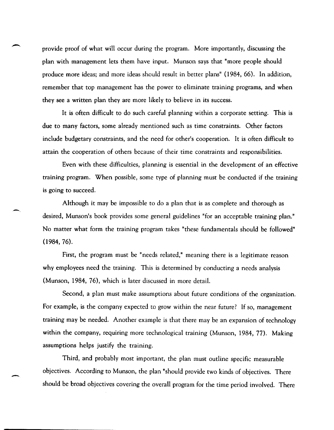provide proof of what will occur during the program. More importantly, discussing the plan with management lets them have input. Munson says that "more people should produce more ideas; and more ideas should result in better plans" (1984, 66). In addition, remember that top management has the power to eliminate training programs, and when they see a written plan they are more likely to believe in its success.

It is often difficult to do such careful planning within a corporate setting. This is due to many factors, some already mentioned such as time constraints. Other factors include budgetary constraints, and the need for other's cooperation. It is often difficult to attain the cooperation of others because of their time constraints and responsibilities.

Even with these difficulties, planning is essential in the development of an effective training program. When possible, some type of planning must be conducted if the training is going to succeed.

Although it may be impossible to do a plan that is as complete and thorough as desired, Munson's book provides some general guidelines "for an acceptable training plan." No matter what form the training program takes "these fundamentals should be followed" (1984, 76).

-.

-

First, the program must be "needs related," meaning there is a legitimate reason why employees need the training. This is determined by conducting a needs analysis (Munson, 1984, 76), which is later discussed in more detail.

Second, a plan must make assumptions about future conditions of the organization. For example, is the company expected to grow within the near future? If so, management training may be needed. Another example is that there may be an expansion of technology within the company, requiring more technological training (Munson, 1984, 77). Making assumptions helps justify the training.

Third, and probably most important, the plan must outline specific measurable objectives. According to Munson, the plan "should provide two kinds of objectives. There should be broad objectives covering the overall program for the time period involved. There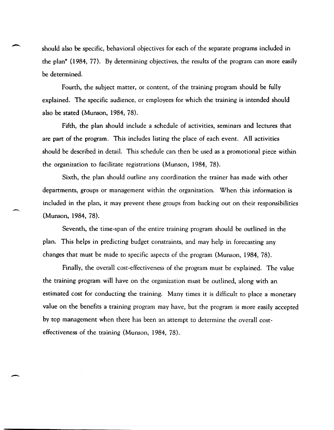should also be specific, behavioral objectives for each of the separate programs included in the plan" (1984, 77). By determining objectives, the results of the program can more easily be determined.

Fourth, the subject matter, or content, of the training program should be fully explained. The specific audience, or employees for which the training is intended should also be stated (Munson, 1984, 78).

Fifth, the plan should include a schedule of activities, seminars and lectures that are part of the program. This includes listing the place of each event. All activities should be described in detail. This schedule can then be used as a promotional piece within the organization to facilitate registrations (Munson, 1984, 78).

Sixth, the plan should outline any coordination the trainer has made with other departments, groups or management within the organization. When this information is included in the plan, it may prevent these groups from backing out on their responsibilities (Munson, 1984, 78).

Seventh, the time-span of the entire training program should be outlined in the plan. This helps in predicting budget constraints, and may help in forecasting any changes that must be made to specific aspects of the program (Munson, 1984, 78).

 $\overline{\phantom{0}}$ 

-.

Finally, the overall cost-effectiveness of the program must be explained. The value the training program will have on the organization must be outlined, along with an estimated cost for conducting the training. Many times it is difficult to place a monetary value on the benefits a training program may have, but the program is more easily accepted by top management when there has been an attempt to determine the overall costeffectiveness of the training (Munson, 1984, 78).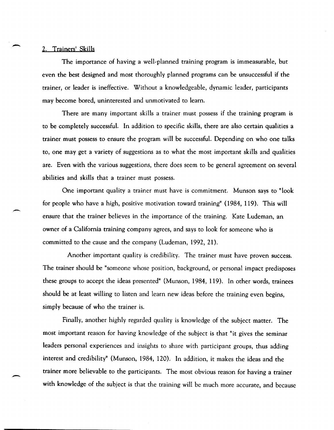#### 2. Trainers' Skills

-

 $\overline{\phantom{0}}$ 

The importance of having a well-planned training program is immeasurable, but even the best designed and most thoroughly planned programs can be unsuccessful if the trainer, or leader is ineffective. Without a knowledgeable, dynamic leader, participants may become bored, uninterested and unmotivated to learn.

There are many important skills a trainer must possess if the training program is to be completely successful. In addition to specific skills, there are also certain qualities a trainer must possess to ensure the program will be successful. Depending on who one talks to, one may get a variety of suggestions as to what the most important skills and qualities are. Even with the various suggestions, there does seem to be general agreement on several abilities and skills that a trainer must possess.

One important quality a trainer must have is commitment. Munson says to "look for people who have a high, positive motivation toward training" (1984, 119). This will ensure that the trainer believes in the importance of the training. Kate Ludeman, an owner of a California training company agrees, and says to look for someone who is committed to the cause and the company (Ludeman, 1992, 21).

Another important quality is credibility. The trainer must have proven success. The trainer should be "someone whose position, background, or personal impact predisposes these groups to accept the ideas presented" (Munson, 1984, 119). In other words, trainees should be at least willing to listen and learn new ideas before the training even begins, simply because of who the trainer is.

Finally, another highly regarded quality is knowledge of the subject matter. The most important reason for having knowledge of the subject is that "it gives the seminar leaders personal experiences and insights to share with participant groups, thus adding interest and credibility" (Munson, 1984, 120). In addition, it makes the ideas and the trainer more believable to the participants. The most obvious reason for having a trainer with knowledge of the subject is that the training will be much more accurate, and because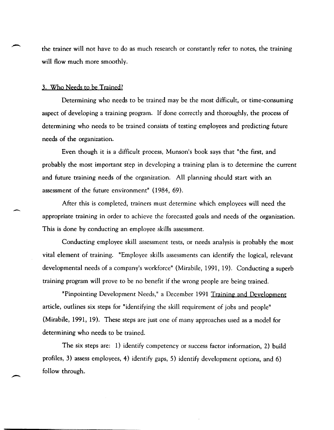the trainer will not have to do as much research or constantly refer to notes, the training will flow much more smoothly.

# 3. Who Needs to be Trained?

Determining who needs to be trained may be the most difficult, or time-consuming aspect of developing a training program. If done correctly and thoroughly, the process of determining who needs to be trained consists of testing employees and predicting future needs of the organization.

Even though it is a difficult process, Munson's book says that "the first, and probably the most important step in developing a training plan is to determine the current and future training needs of the organization. All planning should start with an assessment of the future environment" (1984, 69).

After this is completed, trainers must determine which employees will need the appropriate training in order to achieve the forecasted goals and needs of the organization. This is done by conducting an employee skills assessment.

Conducting employee skill assessment tests, or needs analysis is probably the most vital element of training. "Employee skills assessments can identify the logical, relevant developmental needs of a company's workforce" (Mirabile, 1991, 19). Conducting a superb training program will prove to be no benefit if the wrong people are being trained.

"Pinpointing Development Needs," a December 1991 Trainine- and Deyelopment article, outlines six steps for "identifying the skill requirement of jobs and people" (Mirabile, 1991, 19). These steps are just one of many approaches used as a model for determining who needs to be trained.

The six steps are: 1) identify competency or success factor information, 2) build profiles, 3) assess employees, 4) identify gaps, 5) identify development options, and 6) follow through.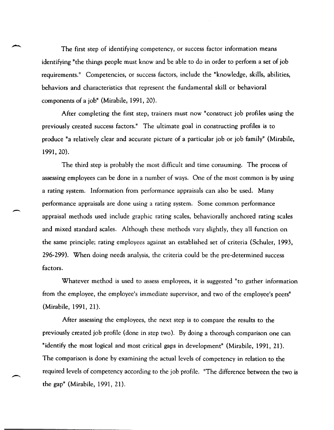The first step of identifying competency, or success factor information means identifying "the things people must know and be able to do in order to perform a set of job requirements." Competencies, or success factors, include the "knowledge, skills, abilities, behaviors and characteristics that represent the fundamental skill or behavioral components of a job" (Mirabile, 1991, 20).

After completing the first step, trainers must now "construct job profiles using the previously created success factors." The ultimate goal in constructing profiles is to produce "a relatively clear and accurate picture of a particular job or job family" (Mirabile, 1991, 20).

The third step is probably the most difficult and time consuming. The process of assessing employees can be done in a number of ways. One of the most common is by using a rating system. Information from performance appraisals can also be used. Many performance appraisals are done using a rating system. Some common performance appraisal methods used include graphic rating scales, behaviorally anchored rating scales and mixed standard scales. Although these methods vary slightly, they all function on the same principle; rating employees against an established set of criteria (Schuler, 1993, 296-299). When doing needs analysis, the criteria could be the pre-determined success factors.

-,

Whatever method is used to assess employees, it is suggested "to gather information from the employee, the employee's immediate supervisor, and two of the employee's peers" (Mirabile, 1991, 21).

After assessing the employees, the next step is to compare the results to the previously created job profile (done in step two). By doing a thorough comparison one can "identify the most logical and most critical gaps in development" (Mirabile, 1991, 21). The comparison is done by examining the actual levels of competency in relation to the required levels of competency according to the job profile. "The difference between the two is the gap" (Mirabile, 1991, 21).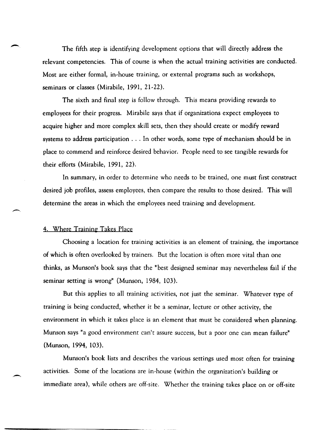The fifth step is identifying development options that will directly address the relevant competencies. This of course is when the actual training activities are conducted. Most are either formal, in,house training, or external programs such as workshops, seminars or classes (Mirabile, 1991, 21-22).

The sixth and final step is follow through. This means providing rewards to employees for their progress. Mirabile says that if organizations expect employees to acquire higher and more complex skill sets, then they should create or modify reward systems to address participation ... In other words, some type of mechanism should be in place to commend and reinforce desired behavior. People need to see tangible rewards for their efforts (Mirabile, 1991, 22).

In summary, in order to determine who needs to be trained, one must first construct desired job profiles, assess employees, then compare the results to those desired. This will determine the areas in which the employees need training and development.

#### 4. Where Training Takes Place

Choosing a location for training activities is an element of training, the importance of which is often overlooked by trainers. But the location is often more vital than one thinks, as Munson's book says that the "best designed seminar may nevertheless fail if the seminar setting is wrong" (Munson, 1984, 103).

But this applies to all training activities, not just the seminar. Whatever type of training is being conducted, whether it be a seminar, lecture or other activity, the environment in which it takes place is an element that must be considered when planning. Munson says "a good environment can't assure success, but a poor one can mean failure" (Munson, 1994, 103).

Munson's book lists and describes the various settings used most often for training activities. Some of the locations are in-house (within the organization's building or immediate area), while others are off-site. Whether the training takes place on or off-site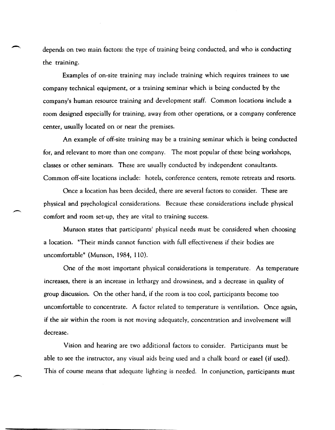depends on two main factors: the type of training being conducted, and who is conducting the training.

Examples of on~site training may include training which requires trainees to use company technical equipment, or a training seminar which is being conducted by the company's human resource training and development staff. Common locations include a room designed especially for training, away from other operations, or a company conference center, usually located on or near the premises.

An example of off~site training may be a training seminar which is being conducted for, and relevant to more than one company. The most popular of these being workshops, classes or other seminars. These are usually conducted by independent consultants. Common off~site locations include: hotels, conference centers, remote retreats and resorts.

Once a location has been decided, there are several factors to consider. These are physical and psychological considerations. Because these considerations include physical comfort and room set~up, they are vital to training success.

Munson states that participants' physical needs must be considered when choosing a location. "Their minds cannot function with full effectiveness if their bodies are uncomfortable" (Munson, 1984, 110).

One of the most important physical considerations is temperature. As temperature increases, there is an increase in lethargy and drowsiness, and a decrease in quality of group discussion. On the other hand, if the room is too cool, participants become too uncomfortable to concentrate. A factor related to temperature is ventilation. Once again, if the air within the room is not moving adequately, concentration and involvement will decrease.

Vision and hearing are two additional factors to consider. Participants must be able to see the instructor, any visual aids being used and a chalk board or easel (if used). This of course means that adequate lighting is needed. In conjunction, participants must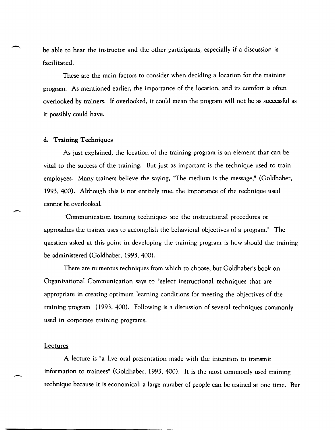be able to hear the instructor and the other participants, especially if a discussion is facilitated.

These are the main factors to consider when deciding a location for the training program. As mentioned earlier, the importance of the location, and its comfort is often overlooked by trainers. If overlooked, it could mean the program will not be as successful as it possibly could have.

#### d. Training Techniques

As just explained, the location of the training program is an element that can be vital to the success of the training. But just as important is the technique used to train employees. Many trainers believe the saying, "The medium is the message," (Goldhaber, 1993, 400). Although this is not entirely true, the importance of the technique used cannot be overlooked.

"Communication training techniques are the instructional procedures or approaches the trainer uses to accomplish the behavioral objectives of a program." The question asked at this point in developing the training program is how should the training be administered (Goldhaber, 1993, 400).

There are numerous techniques from which to choose, but Goldhaber's book on Organizational Communication says to "select instructional techniques that are appropriate in creating optimum learning conditions for meeting the objectives of the training program" (1993, 400). Following is a discussion of several techniques commonly used in corporate training programs.

#### **Lectures**

 $\overline{\phantom{0}}$ 

A lecture is "a live oral presentation made with the intention to transmit information to trainees" (Goldhaber, 1993, 400). It is the most commonly used training technique because it is economical; a large number of people can be trained at one time. But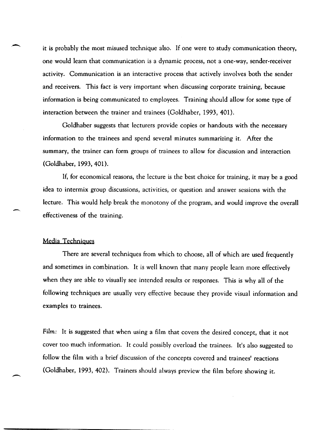it is probably the most misused technique also. If one were to study communication theory, one would learn that communication is a dynamic process, not a one,way, sender,receiver activity. Communication is an interactive process that actively involves both the sender and receivers. This fact is very important when discussing corporate training, because information is being communicated to employees. Training should allow for some type of interaction between the trainer and trainees (Goldhaber, 1993, 401).

Goldhaber suggests that lecturers provide copies or handouts with the necessary information to the trainees and spend several minutes summarizing it. After the summary, the trainer can form groups of trainees to allow for discussion and interaction (Goldhaber, 1993,401).

If, for economical reasons, the lecture is the best choice for training, it may be a good idea to intermix group discussions, activities, or question and answer sessions with the lecture. This would help break the monotony of the program, and would improve the overall effectiveness of the training.

#### Media Techniques

-,

 $\overline{\phantom{0}}$ 

There are several techniques from which to choose, all of which are used frequently and sometimes in combination. It is well known that many people learn more effectively when they are able to visually see intended results or responses. This is why all of the following techniques are usually very effective because they provide visual information and examples to trainees.

Film: It is suggested that when using a film that covers the desired concept, that it not cover too much information. It could possibly overload the trainees. It's also suggested to follow the film with a brief discussion of the concepts covered and trainees' reactions (Goldhaber, 1993,402). Trainers should always preview the film before showing it.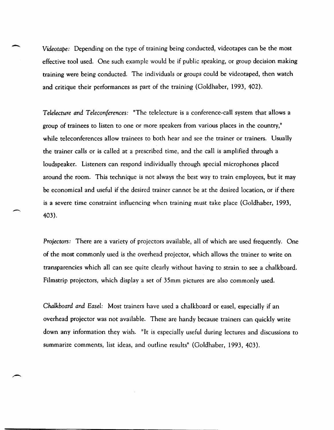*Videotape:* Depending on the type of training being conducted, videotapes can be the most effective tool used. One such example would be if public speaking, or group decision making training were being conducted. The individuals or groups could be videotaped, then watch and critique their performances as part of the training (Goldhaber, 1993, 402).

*Telelecture and Teleconferences:* "The telelecture is a conference-call system that allows a group of trainees to listen to one or more speakers from various places in the country," while teleconferences allow trainees to both hear and see the trainer or trainers. Usually the trainer calls or is called at a prescribed time, and the call is amplified through a loudspeaker. Listeners can respond individually through special microphones placed around the room. This technique is not always the best way to train employees, but it may be economical and useful if the desired trainer cannot be at the desired location, or if there is a severe time constraint influencing when training must take place (Goldhaber, 1993, 403).

*Projectors:* There are a variety of projectors available, all of which are used frequently. One of the most commonly used is the overhead projector, which allows the trainer to write on transparencies which all can see quite clearly without having to strain to see a chalkboard. Filmstrip projectors, which display a set of 35mm pictures are also commonly used.

*Chalkboard* and *Easel:* Most trainers have used a chalkboard or easel, especially if an overhead projector was not available. These are handy because trainers can quickly write down any information they wish. "It is especially useful during lectures and discussions to summarize comments, list ideas, and outline results" (Goldhaber, 1993, 403).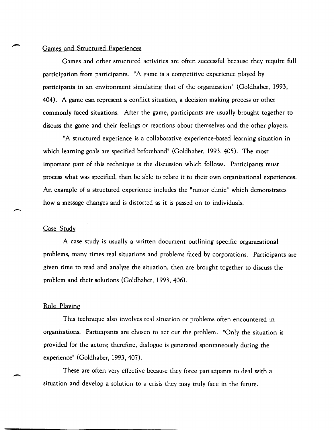## Games and Structured Experiences

Games and other structured activities are often successful because they require full participation from participants. "A game is a competitive experience played by participants in an environment simulating that of the organization" (Goldhaber, 1993, 404). A game can represent a conflict situation, a decision making process or other commonly faced situations. After the game, participants are usually brought together to discuss the game and their feelings or reactions about themselves and the other players.

"A structured experience is a collaborative experience-based learning situation in which learning goals are specified beforehand" (Goldhaber, 1993, 405). The most important part of this technique is the discussion which follows. Participants must process what was specified, then be able to relate it to their own organizational experiences. An example of a structured experience includes the "rumor clinic" which demonstrates how a message changes and is distorted as it is passed on to individuals.

## Case Study

A case study is usually a written document outlining specific organizational problems, many times real situations and problems faced by corporations. Participants are given time to read and analyze the situation, then are brought together to discuss the problem and their solutions (Goldhaber, 1993, 406).

#### Role Playing

This technique also involves real situation or problems often encountered in organizations. Participants are chosen to act out the problem. "Only the situation is provided for the actors; therefore, dialogue is generated spontaneously during the experience" (Goldhaber, 1993,407).

These are often very effective because they force participants to deal with a situation and develop a solution to a crisis they may truly face in the future.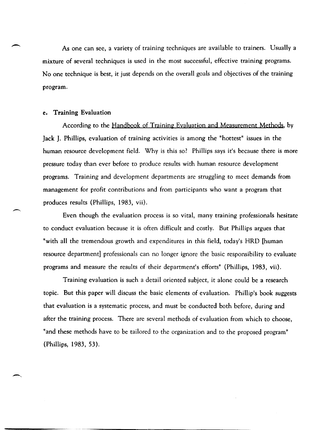As one can see, a variety of training techniques are available to trainers. Usually a mixture of several techniques is used in the most successful, effective training programs. No one technique is best, it just depends on the overall goals and objectives of the training program.

#### e. Training Evaluation

According to the Handbook of Training Evaluation and Measurement Methods, by Jack J. Phillips, evaluation of training activities is among the "hottest" issues in the human resource development field. Why is this so? Phillips says it's because there is more pressure today than ever before to produce results with human resource development programs. Training and development departments are struggling to meet demands from management for profit contributions and from participants who want a program that produces results (Phillips, 1983, vii).

Even though the evaluation process is so vital, many training professionals hesitate to conduct evaluation because it is often difficult and costly. But Phillips argues that "with all the tremendous growth and expenditures in this field, today's HRD [human resource department] professionals can no longer ignore the basic responsibility to evaluate programs and measure the results of their department's efforts" (Phillips, 1983, vii).

Training evaluation is such a detail oriented subject, it alone could be a research topic. But this paper will discuss the basic elements of evaluation. Phillip's book suggests that evaluation is a systematic process, and must be conducted both before, during and after the training process. There are several methods of evaluation from which to choose, "and these methods have to be tailored to the organization and to the proposed program" (Phillips, 1983,53).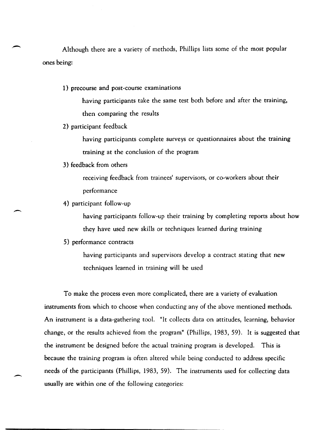Although there are a variety of methods, Phillips lists some of the most popular ones being:

1) precourse and post-course examinations

having participants take the same test both before and after the training, then comparing the results

2) participant feedback

having participants complete surveys or questionnaires about the training training at the conclusion of the program

3) feedback from others

receiving feedback from trainees' supervisors, or co-workers about their performance

4) participant follow,up

-

-

having participants follow-up their training by completing reports about how they have used new skills or techniques learned during training

5) performance contracts

having participants and supervisors develop a contract stating that new techniques learned in training will be used

To make the process even more complicated, there are a variety of evaluation instruments from which to choose when conducting any of the above mentioned methods. An instrument is a data-gathering tool. "It collects data on attitudes, learning, behavior change, or the results achieved from the program" (Phillips, 1983, 59). It is suggested that the instrument be designed before the actual training program is developed. This is because the training program is often altered while being conducted to address specific needs of the participants (Phillips, 1983, 59). The instruments used for collecting data usually are within one of the following categories: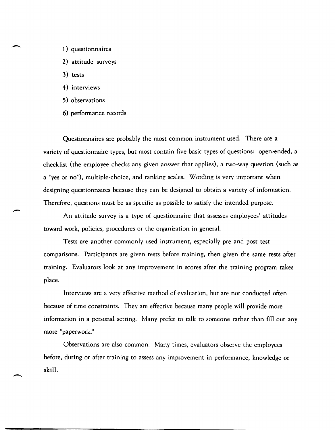- 1) questionnaires
- 2) attitude surveys
- 3) tests
- 4) interviews
- 5) observations
- 6) performance records

Questionnaires are probably the most common instrument used. There are a variety of questionnaire types, but most contain five basic types of questions: open-ended, a checklist (the employee checks any given answer that applies), a two,way question (such as a "yes or no"), multiple-choice, and ranking scales. Wording is very important when designing questionnaires because they can be designed to obtain a variety of information. Therefore, questions must be as specific as possible to satisfy the intended purpose.

An attitude survey is a type of questionnaire that assesses employees' attitudes toward work, policies, procedures or the organization in generaL

Tests are another commonly used instrument, especially pre and post test comparisons. Participants are given tests before training, then given the same tests after training. Evaluators look at any improvement in scores after the training program takes place.

Interviews are a very effective method of evaluation, but are not conducted often because of time constraints. They are effective because many people will provide more information in a personal setting. Many prefer to talk to someone rather than fill out any more "paperwork."

Observations are also common. Many times, evaluators observe the employees before, during or after training to assess any improvement in performance, knowledge or skill.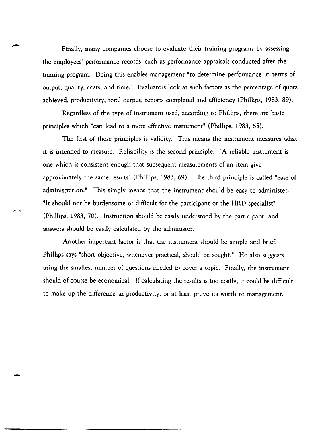Finally, many companies choose to evaluate their training programs by assessing the employees' performance records, such as performance appraisals conducted after the training program. Doing this enables management "to determine performance in terms of output, quality, costs, and time." Evaluators look at such factors as the percentage of quota achieved, productivity, total output, reports completed and efficiency (Phillips, 1983, 89).

Regardless of the type of instrument used, according to Phillips, there are basic principles which "can lead to a more effective instrument" (Phillips, 1983, 65).

The first of these principles is validity. This means the instrument measures what it is intended to measure. Reliability is the second principle. "A reliable instrument is one which is consistent enough that subsequent measurements of an item give approximately the same results" (Phillips, 1983, 69). The third principle is called "ease of administration." This simply means that the instrument should be easy to administer. "It should not be burdensome or difficult for the participant or the HRD specialist" (Phillips, 1983, 70). Instruction should be easily understood by the participant, and answers should be easily calculated by the administer.

Another important factor is that the instrument should be simple and brief. Phillips says "short objective, whenever practical, should be sought." He also suggests using the smallest number of questions needed to cover a topic. Finally, the instrument should of course be economical. If calculating the results is too costly, it could be difficult to make up the difference in productivity, or at least prove its worth to management.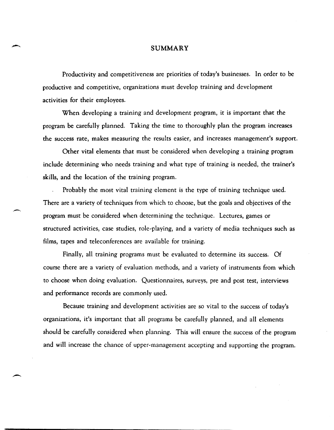## SUMMARY

Productivity and competitiveness are priorities of today's businesses. In order to be productive and competitive, organizations must develop training and development activities for their employees.

When developing a training and development program, it is important that the program be carefully planned. Taking the time to thoroughly plan the program increases the success rate, makes measuring the results easier, and increases management's support.

Other vital elements that must be considered when developing a training program include determining who needs training and what type of training is needed, the trainer's skills, and the location of the training program.

Probably the most vital training element is the type of training technique used. There are a variety of techniques from which to choose, but the goals and objectives of the program must be considered when determining the technique. Lectures, games or structured activities, case studies, role-playing, and a variety of media techniques such as films, tapes and teleconferences are available for training.

Finally, all training programs must be evaluated to determine its success. Of course there are a variety of evaluation methods, and a variety of instruments from which to choose when doing evaluation. Questionnaires, surveys, pre and post test, interviews and performance records are commonly used.

Because training and development activities are so vital to the success of today's organizations, it's important that all programs be carefully planned, and all elements should be carefully considered when planning. This will ensure the. success of the program and will increase the chance of upper-management accepting and supporting the program.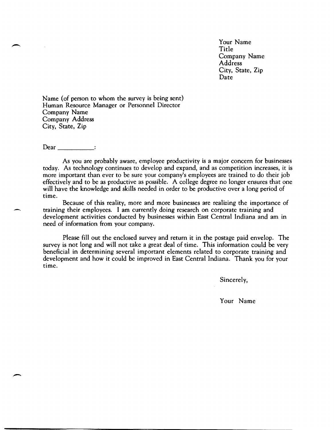Your Name Title Company Name Address City, State, Zip Date

Name (of person to whom the survey is being sent) Human Resource Manager or Personnel Director Company Name Company Address City, State, Zip

Dear \_\_\_\_\_\_\_\_\_\_\_\_\_\_\_\_ :

As you are probably aware, employee productivity is a major concern for businesses today. As technology continues to develop and expand, and as competition increases, it is more important than ever to be sure your company's employees are trained to do their job effectively and to be as productive as possible. A college degree no longer ensures that one will have the knowledge and skills needed in order to be productive over a long period of time.

Because of this reality, more and more businesses are realizing the importance of training their employees. I am currently doing research on corporate training and development activities conducted by businesses within East Central Indiana and am in need of information from your company.

Please fill out the enclosed survey and return it in the postage paid envelop. The survey is not long and will not take a great deal of time. This information could be very beneficial in determining several important elements related to corporate training and development and how it could be improved in East Central Indiana. Thank you for your time.

Sincerely,

Your Name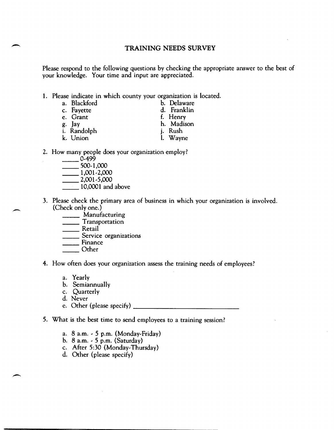# **TRAINING NEEDS SURVEY**

Please respond to the following questions by checking the appropriate answer to the best of your knowledge. Your time and input are appreciated.

1. Please indicate in which county your organization is located.

| a. Blackford | b. Delaware |
|--------------|-------------|
| c. Fayette   | d. Franklin |
| e. Grant     | f. Henry    |
| g. Jay       | h. Madison  |
| i. Randolph  | j. Rush     |
| k. Union     | l. Wayne    |
|              |             |

- 2. How many people does your organization employ?<br>  $0.499$ 
	- $\frac{0.499}{\sqrt{0.499}}$  500-1,000  $\frac{500-1,000}{1,001-2,000}$  $\frac{1,001-2,000}{2,001-5,000}$
	- \_\_ 10,0001 and above
- 3. Please check the primary area of business in which your organization is involved. (Check only one.)
	- \_\_\_\_\_\_ Manufacturing<br>\_\_\_\_\_\_ Transportation
	- \_\_\_\_\_\_ Transportation<br>Retail
	-

-.

-

- \_\_\_\_\_\_ Retail<br>\_\_\_\_\_\_ Service organizations Service<br>Finance
- \_\_ Other
- 
- 4. How often does your organization assess the training needs of employees?
	- a. Yearly
	- b. Semiannually
	- c. Quarterly
	- d. Never
	- e. Other (please specify) \_\_\_\_\_\_\_\_\_\_\_\_\_ \_
- 5. What is the best time to send employees to a training session?
	- a. 8 a.m. ' 5 p.m. (Monday,Friday)
	- b.  $8$  a.m.  $-5$  p.m. (Saturday)
	- c. After 5:30 (Monday, Thursday)
	- d. Other (please specify)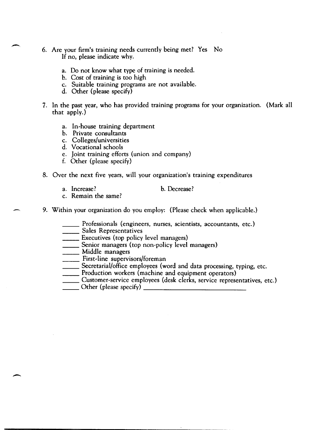- 6. Are your firm's training needs currently being met? Yes No If no, please indicate why.
	- a. Do not know what type of training is needed.
	- b. Cost of training is too high
	- c. Suitable training programs are not available.
	- d. Other (please specify)
- 7. In the past year, who has provided training programs for your organization. (Mark all that apply.)
	- a. In-house training department
	- b. Private consultants
	- c. Colleges/universities
	- d. Vocational schools
	- e. Joint training efforts {union and company}
	- f. Other {please specify}
- 8. Over the next five years, will your organization's training expenditures
	- a. Increase? b. Decrease?

-

- c. Remain the same?
- 9. Within your organization do you employ: (Please check when applicable.)
	- \_\_ Professionals {engineers, nurses, scientists, accountants, etc.}
	- **EXECUSE:** Sales Representatives
	- **Executives** (top policy level managers)
	- \_\_\_\_ Senior managers (top non-policy level managers)
	- \_\_\_\_\_ Middle managers
	- \_\_\_ First,line supervisors/foreman
	- Tirst-line supervisors/foreman<br>
	Secretarial/office employees (word and data processing, typing, etc. \_\_\_\_\_\_ Secretarial/office employees (word and data processing, t<br>\_\_\_\_\_\_ Production workers (machine and equipment operators)
	-
	- Troduction workers (machine and equipment operators)<br>
	Customer-service employees (desk clerks, service representatives, etc.)<br>
	Other (please specify) \_\_\_\_\_\_\_\_\_\_
	-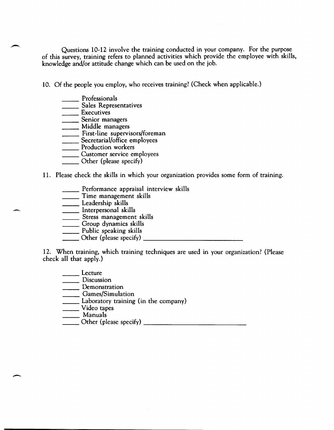Questions 10,12 involve the training conducted in your company. For the purpose of this survey, training refers to planned activities which provide the employee with skills, knowledge and/or attitude change which can be used on the job.

10. Of the people you employ, who receives training? (Check when applicable.)

- \_\_ Professionals
- \_\_\_\_\_\_ Professionals<br>\_\_\_\_\_\_ Sales Representatives \_\_\_\_\_ Sales Repr<br>\_\_\_\_\_\_ Executives
- 
- **\_\_\_\_\_\_\_** Executives<br>\_\_\_\_\_\_\_ Senior managers
- \_\_\_\_\_ Middle managers
- **The State of Tennishm State State** First-line supervisors/foreman First-line supervisors/forem<br>Secretarial/office employees
- 
- **Executarial/office enforce**<br> **Production workers**
- **with Terms**<br>
Customer service employees<br>
Customer service employees
- \_\_\_\_\_\_ Customer service empl<br>\_\_\_\_\_\_ Other (please specify)
- 11. Please check the skills in which your organization provides some form of training.
	- **EXECUTE:** Performance appraisal interview skills **\_\_\_\_\_** Performance appraisal in<br>Time management skills
	-
	- \_\_\_\_\_\_ Time managemer<br>\_\_\_\_\_\_ Leadership skills \_\_\_\_\_ Leadership skills<br>\_\_\_\_\_ Interpersonal skills
	-
	- \_\_\_\_\_\_ Stress management skills
	- \_\_\_\_\_\_ Group dynamics skills<br>\_\_\_\_\_\_ Public speaking skills
	-
	- $\frac{2}{\sqrt{2}}$  Public speaking skills  $\frac{1}{2}$

12. When training, which training techniques are used in your organization? (Please check all that apply.)

- Lecture
- \_\_\_\_\_\_ Discussion
- \_\_\_\_\_ Demonstration
- \_\_ Games/Simulation
- **Laboratory training (in the company)**
- \_\_\_\_\_\_\_ Video tapes
- 

-

 $\sum$  Other (please specify)  $\sum$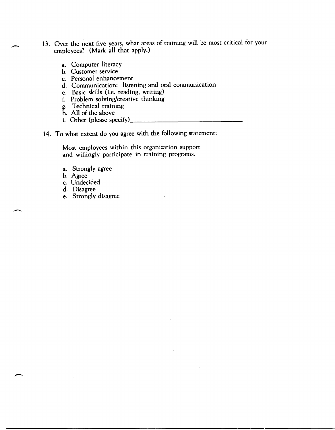- 13. Over the next five years, what areas of training will be most critical for your employees? (Mark all that apply.)
	- a. Computer literacy
	- b. Customer service
	- c. Personal enhancement
	- d. Communication: listening and oral communication
	- e. Basic skills (i.e. reading, writing)
	- f. Problem solving/creative thinking
	- g. Technical training
	-
	- h. All of the above<br>i. Other (please specify)
- 14. To what extent do you agree with the following statement:

Most employees within this organization support and willingly participate in training programs.

- a. Strongly agree
- b. Agree
- c. Undecided
- d. Disagree
- e. Strongly disagree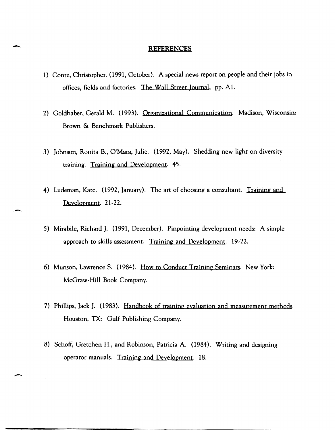#### REFERENCES

 $\overline{\phantom{a}}$ 

-

-

- 1) Conte, Christopher. (1991, October). A special news report on people and their jobs in offices, fields and factories. The Wall Street Journal, pp. AI.
- 2) Goldhaber, Gerald M. (1993). Organizational Communication. Madison, Wisconsin: Brown & Benchmark Publishers.
- 3) Johnson, Ronita B., Q'Mara, Julie. (1992, May). Shedding new light on diversity training. Training and Development. 45.
- 4) Ludeman, Kate. (1992, January). The art of choosing a consultant. Training and Development. 21~22.
- 5) Mirabile, Richard J. (1991, December). Pinpointing development needs: A simple approach to skills assessment. Training and Development. 19-22.
- 6) Munson, Lawrence S. (1984). How to Conduct Training Seminars. New York: McGraw~Hill Book Company.
- 7) Phillips, Jack J. (1983). Handbook of training evaluation and measurement methods. Houston, TX: Gulf Publishing Company.
- 8) Schoff, Gretchen H., and Robinson, Patricia A. (1984). Writing and designing operator manuals. Training and Development. 18.